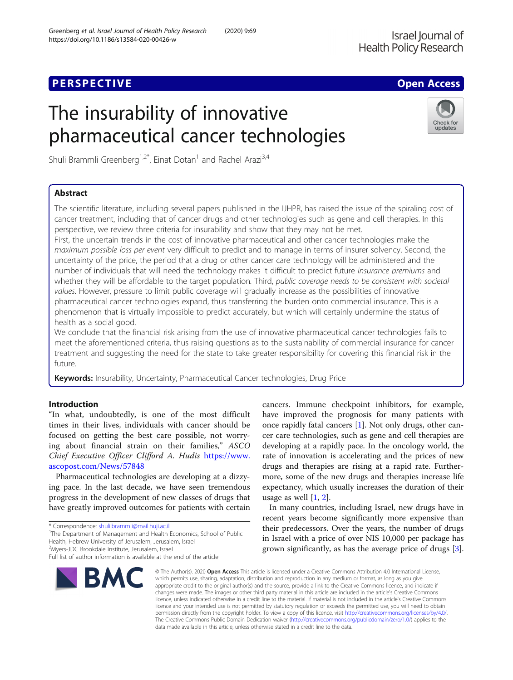## **PERSPECTIVE CONSUMING ACCESS**

https://doi.org/10.1186/s13584-020-00426-w

# The insurability of innovative pharmaceutical cancer technologies

Shuli Brammli Greenberg<sup>1,2\*</sup>, Einat Dotan<sup>1</sup> and Rachel Arazi<sup>3,4</sup>

## Abstract

The scientific literature, including several papers published in the IJHPR, has raised the issue of the spiraling cost of cancer treatment, including that of cancer drugs and other technologies such as gene and cell therapies. In this perspective, we review three criteria for insurability and show that they may not be met.

First, the uncertain trends in the cost of innovative pharmaceutical and other cancer technologies make the maximum possible loss per event very difficult to predict and to manage in terms of insurer solvency. Second, the uncertainty of the price, the period that a drug or other cancer care technology will be administered and the number of individuals that will need the technology makes it difficult to predict future insurance premiums and whether they will be affordable to the target population. Third, public coverage needs to be consistent with societal values. However, pressure to limit public coverage will gradually increase as the possibilities of innovative pharmaceutical cancer technologies expand, thus transferring the burden onto commercial insurance. This is a phenomenon that is virtually impossible to predict accurately, but which will certainly undermine the status of health as a social good.

We conclude that the financial risk arising from the use of innovative pharmaceutical cancer technologies fails to meet the aforementioned criteria, thus raising questions as to the sustainability of commercial insurance for cancer treatment and suggesting the need for the state to take greater responsibility for covering this financial risk in the future.

Keywords: Insurability, Uncertainty, Pharmaceutical Cancer technologies, Drug Price

## Introduction

"In what, undoubtedly, is one of the most difficult times in their lives, individuals with cancer should be focused on getting the best care possible, not worrying about financial strain on their families," ASCO Chief Executive Officer Clifford A. Hudis [https://www.](https://www.ascopost.com/News/57848) [ascopost.com/News/57848](https://www.ascopost.com/News/57848)

Pharmaceutical technologies are developing at a dizzying pace. In the last decade, we have seen tremendous progress in the development of new classes of drugs that have greatly improved outcomes for patients with certain

<sup>2</sup>Myers-JDC Brookdale institute, Jerusalem, Israel

BMC

which permits use, sharing, adaptation, distribution and reproduction in any medium or format, as long as you give appropriate credit to the original author(s) and the source, provide a link to the Creative Commons licence, and indicate if changes were made. The images or other third party material in this article are included in the article's Creative Commons licence, unless indicated otherwise in a credit line to the material. If material is not included in the article's Creative Commons licence and your intended use is not permitted by statutory regulation or exceeds the permitted use, you will need to obtain permission directly from the copyright holder. To view a copy of this licence, visit [http://creativecommons.org/licenses/by/4.0/.](http://creativecommons.org/licenses/by/4.0/) The Creative Commons Public Domain Dedication waiver [\(http://creativecommons.org/publicdomain/zero/1.0/](http://creativecommons.org/publicdomain/zero/1.0/)) applies to the data made available in this article, unless otherwise stated in a credit line to the data.

© The Author(s), 2020 **Open Access** This article is licensed under a Creative Commons Attribution 4.0 International License,

cancers. Immune checkpoint inhibitors, for example, have improved the prognosis for many patients with once rapidly fatal cancers [\[1](#page-5-0)]. Not only drugs, other cancer care technologies, such as gene and cell therapies are developing at a rapidly pace. In the oncology world, the rate of innovation is accelerating and the prices of new drugs and therapies are rising at a rapid rate. Furthermore, some of the new drugs and therapies increase life expectancy, which usually increases the duration of their usage as well  $[1, 2]$  $[1, 2]$  $[1, 2]$  $[1, 2]$ .

In many countries, including Israel, new drugs have in recent years become significantly more expensive than their predecessors. Over the years, the number of drugs in Israel with a price of over NIS 10,000 per package has grown significantly, as has the average price of drugs [\[3](#page-5-0)].



Check for updates

<sup>\*</sup> Correspondence: [shuli.brammli@mail.huji.ac.il](mailto:shuli.brammli@mail.huji.ac.il)<br><sup>1</sup>The Department of Management and Health Economics, School of Public

Health, Hebrew University of Jerusalem, Jerusalem, Israel

Full list of author information is available at the end of the article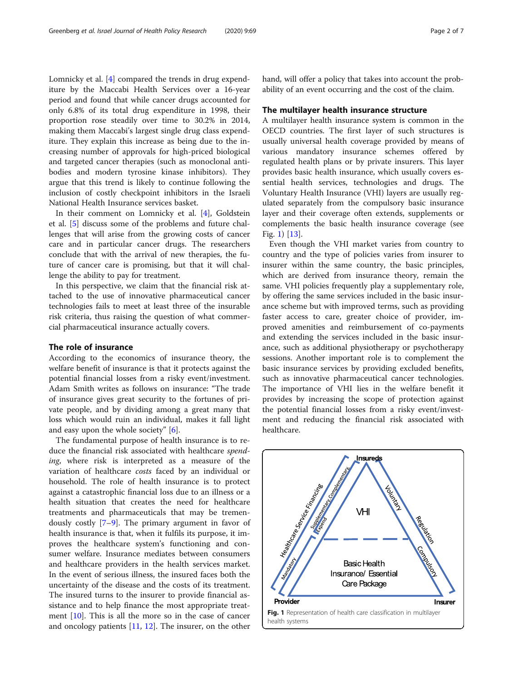Lomnicky et al. [[4\]](#page-5-0) compared the trends in drug expenditure by the Maccabi Health Services over a 16-year period and found that while cancer drugs accounted for only 6.8% of its total drug expenditure in 1998, their proportion rose steadily over time to 30.2% in 2014, making them Maccabi's largest single drug class expenditure. They explain this increase as being due to the increasing number of approvals for high-priced biological and targeted cancer therapies (such as monoclonal antibodies and modern tyrosine kinase inhibitors). They argue that this trend is likely to continue following the inclusion of costly checkpoint inhibitors in the Israeli National Health Insurance services basket.

In their comment on Lomnicky et al. [[4\]](#page-5-0), Goldstein et al. [[5\]](#page-5-0) discuss some of the problems and future challenges that will arise from the growing costs of cancer care and in particular cancer drugs. The researchers conclude that with the arrival of new therapies, the future of cancer care is promising, but that it will challenge the ability to pay for treatment.

In this perspective, we claim that the financial risk attached to the use of innovative pharmaceutical cancer technologies fails to meet at least three of the insurable risk criteria, thus raising the question of what commercial pharmaceutical insurance actually covers.

## The role of insurance

According to the economics of insurance theory, the welfare benefit of insurance is that it protects against the potential financial losses from a risky event/investment. Adam Smith writes as follows on insurance: "The trade of insurance gives great security to the fortunes of private people, and by dividing among a great many that loss which would ruin an individual, makes it fall light and easy upon the whole society" [\[6\]](#page-5-0).

The fundamental purpose of health insurance is to reduce the financial risk associated with healthcare spending, where risk is interpreted as a measure of the variation of healthcare costs faced by an individual or household. The role of health insurance is to protect against a catastrophic financial loss due to an illness or a health situation that creates the need for healthcare treatments and pharmaceuticals that may be tremendously costly [[7](#page-5-0)–[9](#page-5-0)]. The primary argument in favor of health insurance is that, when it fulfils its purpose, it improves the healthcare system's functioning and consumer welfare. Insurance mediates between consumers and healthcare providers in the health services market. In the event of serious illness, the insured faces both the uncertainty of the disease and the costs of its treatment. The insured turns to the insurer to provide financial assistance and to help finance the most appropriate treatment  $[10]$  $[10]$ . This is all the more so in the case of cancer and oncology patients [[11,](#page-5-0) [12\]](#page-5-0). The insurer, on the other

hand, will offer a policy that takes into account the probability of an event occurring and the cost of the claim.

#### The multilayer health insurance structure

A multilayer health insurance system is common in the OECD countries. The first layer of such structures is usually universal health coverage provided by means of various mandatory insurance schemes offered by regulated health plans or by private insurers. This layer provides basic health insurance, which usually covers essential health services, technologies and drugs. The Voluntary Health Insurance (VHI) layers are usually regulated separately from the compulsory basic insurance layer and their coverage often extends, supplements or complements the basic health insurance coverage (see Fig. 1) [\[13](#page-5-0)].

Even though the VHI market varies from country to country and the type of policies varies from insurer to insurer within the same country, the basic principles, which are derived from insurance theory, remain the same. VHI policies frequently play a supplementary role, by offering the same services included in the basic insurance scheme but with improved terms, such as providing faster access to care, greater choice of provider, improved amenities and reimbursement of co-payments and extending the services included in the basic insurance, such as additional physiotherapy or psychotherapy sessions. Another important role is to complement the basic insurance services by providing excluded benefits, such as innovative pharmaceutical cancer technologies. The importance of VHI lies in the welfare benefit it provides by increasing the scope of protection against the potential financial losses from a risky event/investment and reducing the financial risk associated with healthcare.

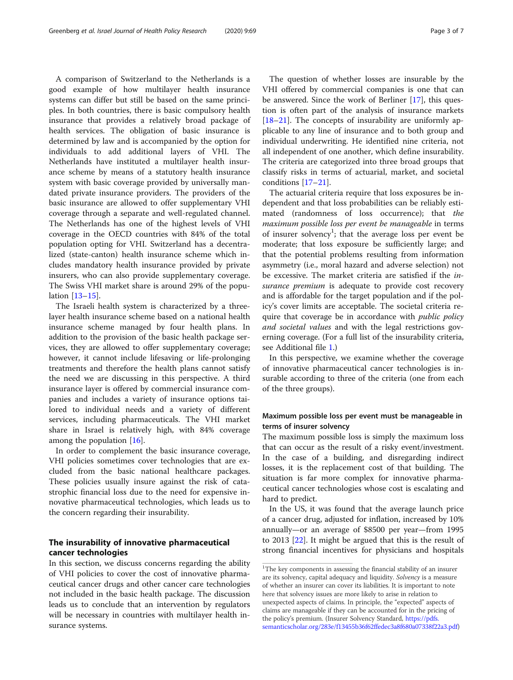A comparison of Switzerland to the Netherlands is a good example of how multilayer health insurance systems can differ but still be based on the same principles. In both countries, there is basic compulsory health insurance that provides a relatively broad package of health services. The obligation of basic insurance is determined by law and is accompanied by the option for individuals to add additional layers of VHI. The Netherlands have instituted a multilayer health insurance scheme by means of a statutory health insurance system with basic coverage provided by universally mandated private insurance providers. The providers of the basic insurance are allowed to offer supplementary VHI coverage through a separate and well-regulated channel. The Netherlands has one of the highest levels of VHI coverage in the OECD countries with 84% of the total population opting for VHI. Switzerland has a decentralized (state-canton) health insurance scheme which includes mandatory health insurance provided by private insurers, who can also provide supplementary coverage. The Swiss VHI market share is around 29% of the population [[13](#page-5-0)–[15\]](#page-5-0).

The Israeli health system is characterized by a threelayer health insurance scheme based on a national health insurance scheme managed by four health plans. In addition to the provision of the basic health package services, they are allowed to offer supplementary coverage; however, it cannot include lifesaving or life-prolonging treatments and therefore the health plans cannot satisfy the need we are discussing in this perspective. A third insurance layer is offered by commercial insurance companies and includes a variety of insurance options tailored to individual needs and a variety of different services, including pharmaceuticals. The VHI market share in Israel is relatively high, with 84% coverage among the population [\[16](#page-5-0)].

In order to complement the basic insurance coverage, VHI policies sometimes cover technologies that are excluded from the basic national healthcare packages. These policies usually insure against the risk of catastrophic financial loss due to the need for expensive innovative pharmaceutical technologies, which leads us to the concern regarding their insurability.

## The insurability of innovative pharmaceutical cancer technologies

In this section, we discuss concerns regarding the ability of VHI policies to cover the cost of innovative pharmaceutical cancer drugs and other cancer care technologies not included in the basic health package. The discussion leads us to conclude that an intervention by regulators will be necessary in countries with multilayer health insurance systems.

The question of whether losses are insurable by the VHI offered by commercial companies is one that can be answered. Since the work of Berliner [[17\]](#page-5-0), this question is often part of the analysis of insurance markets [[18](#page-5-0)–[21](#page-5-0)]. The concepts of insurability are uniformly applicable to any line of insurance and to both group and individual underwriting. He identified nine criteria, not all independent of one another, which define insurability. The criteria are categorized into three broad groups that classify risks in terms of actuarial, market, and societal conditions [[17](#page-5-0)–[21](#page-5-0)].

The actuarial criteria require that loss exposures be independent and that loss probabilities can be reliably estimated (randomness of loss occurrence); that the maximum possible loss per event be manageable in terms of insurer solvency<sup>1</sup>; that the average loss per event be moderate; that loss exposure be sufficiently large; and that the potential problems resulting from information asymmetry (i.e., moral hazard and adverse selection) not be excessive. The market criteria are satisfied if the insurance premium is adequate to provide cost recovery and is affordable for the target population and if the policy's cover limits are acceptable. The societal criteria require that coverage be in accordance with *public policy* and societal values and with the legal restrictions governing coverage. (For a full list of the insurability criteria, see Additional file [1.](#page-5-0))

In this perspective, we examine whether the coverage of innovative pharmaceutical cancer technologies is insurable according to three of the criteria (one from each of the three groups).

## Maximum possible loss per event must be manageable in terms of insurer solvency

The maximum possible loss is simply the maximum loss that can occur as the result of a risky event/investment. In the case of a building, and disregarding indirect losses, it is the replacement cost of that building. The situation is far more complex for innovative pharmaceutical cancer technologies whose cost is escalating and hard to predict.

In the US, it was found that the average launch price of a cancer drug, adjusted for inflation, increased by 10% annually—or an average of \$8500 per year—from 1995 to 2013 [\[22](#page-5-0)]. It might be argued that this is the result of strong financial incentives for physicians and hospitals

<sup>&</sup>lt;sup>1</sup>The key components in assessing the financial stability of an insurer are its solvency, capital adequacy and liquidity. Solvency is a measure of whether an insurer can cover its liabilities. It is important to note here that solvency issues are more likely to arise in relation to unexpected aspects of claims. In principle, the "expected" aspects of claims are manageable if they can be accounted for in the pricing of the policy's premium. (Insurer Solvency Standard, [https://pdfs.](https://pdfs.semanticscholar.org/283e/f13455b36f62ffedec3a8f680a07338f22a3.pdf) [semanticscholar.org/283e/f13455b36f62ffedec3a8f680a07338f22a3.pdf](https://pdfs.semanticscholar.org/283e/f13455b36f62ffedec3a8f680a07338f22a3.pdf))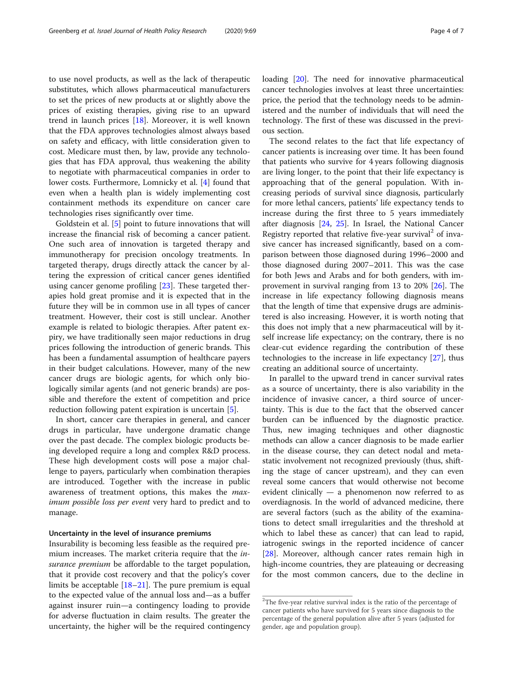to use novel products, as well as the lack of therapeutic substitutes, which allows pharmaceutical manufacturers to set the prices of new products at or slightly above the prices of existing therapies, giving rise to an upward trend in launch prices [\[18\]](#page-5-0). Moreover, it is well known that the FDA approves technologies almost always based on safety and efficacy, with little consideration given to cost. Medicare must then, by law, provide any technologies that has FDA approval, thus weakening the ability to negotiate with pharmaceutical companies in order to lower costs. Furthermore, Lomnicky et al. [[4\]](#page-5-0) found that even when a health plan is widely implementing cost containment methods its expenditure on cancer care technologies rises significantly over time.

Goldstein et al. [[5\]](#page-5-0) point to future innovations that will increase the financial risk of becoming a cancer patient. One such area of innovation is targeted therapy and immunotherapy for precision oncology treatments. In targeted therapy, drugs directly attack the cancer by altering the expression of critical cancer genes identified using cancer genome profiling [\[23\]](#page-5-0). These targeted therapies hold great promise and it is expected that in the future they will be in common use in all types of cancer treatment. However, their cost is still unclear. Another example is related to biologic therapies. After patent expiry, we have traditionally seen major reductions in drug prices following the introduction of generic brands. This has been a fundamental assumption of healthcare payers in their budget calculations. However, many of the new cancer drugs are biologic agents, for which only biologically similar agents (and not generic brands) are possible and therefore the extent of competition and price reduction following patent expiration is uncertain [[5\]](#page-5-0).

In short, cancer care therapies in general, and cancer drugs in particular, have undergone dramatic change over the past decade. The complex biologic products being developed require a long and complex R&D process. These high development costs will pose a major challenge to payers, particularly when combination therapies are introduced. Together with the increase in public awareness of treatment options, this makes the maximum possible loss per event very hard to predict and to manage.

## Uncertainty in the level of insurance premiums

Insurability is becoming less feasible as the required premium increases. The market criteria require that the *in*surance premium be affordable to the target population, that it provide cost recovery and that the policy's cover limits be acceptable  $[18-21]$  $[18-21]$  $[18-21]$  $[18-21]$  $[18-21]$ . The pure premium is equal to the expected value of the annual loss and—as a buffer against insurer ruin—a contingency loading to provide for adverse fluctuation in claim results. The greater the uncertainty, the higher will be the required contingency loading [[20](#page-5-0)]. The need for innovative pharmaceutical cancer technologies involves at least three uncertainties: price, the period that the technology needs to be administered and the number of individuals that will need the technology. The first of these was discussed in the previous section.

The second relates to the fact that life expectancy of cancer patients is increasing over time. It has been found that patients who survive for 4 years following diagnosis are living longer, to the point that their life expectancy is approaching that of the general population. With increasing periods of survival since diagnosis, particularly for more lethal cancers, patients' life expectancy tends to increase during the first three to 5 years immediately after diagnosis [\[24](#page-5-0), [25\]](#page-5-0). In Israel, the National Cancer Registry reported that relative five-year survival<sup>2</sup> of invasive cancer has increased significantly, based on a comparison between those diagnosed during 1996–2000 and those diagnosed during 2007–2011. This was the case for both Jews and Arabs and for both genders, with improvement in survival ranging from 13 to 20% [[26\]](#page-5-0). The increase in life expectancy following diagnosis means that the length of time that expensive drugs are administered is also increasing. However, it is worth noting that this does not imply that a new pharmaceutical will by itself increase life expectancy; on the contrary, there is no clear-cut evidence regarding the contribution of these technologies to the increase in life expectancy [\[27](#page-5-0)], thus creating an additional source of uncertainty.

In parallel to the upward trend in cancer survival rates as a source of uncertainty, there is also variability in the incidence of invasive cancer, a third source of uncertainty. This is due to the fact that the observed cancer burden can be influenced by the diagnostic practice. Thus, new imaging techniques and other diagnostic methods can allow a cancer diagnosis to be made earlier in the disease course, they can detect nodal and metastatic involvement not recognized previously (thus, shifting the stage of cancer upstream), and they can even reveal some cancers that would otherwise not become evident clinically — a phenomenon now referred to as overdiagnosis. In the world of advanced medicine, there are several factors (such as the ability of the examinations to detect small irregularities and the threshold at which to label these as cancer) that can lead to rapid, iatrogenic swings in the reported incidence of cancer [[28\]](#page-6-0). Moreover, although cancer rates remain high in high-income countries, they are plateauing or decreasing for the most common cancers, due to the decline in

<sup>&</sup>lt;sup>2</sup>The five-year relative survival index is the ratio of the percentage of cancer patients who have survived for 5 years since diagnosis to the percentage of the general population alive after 5 years (adjusted for gender, age and population group).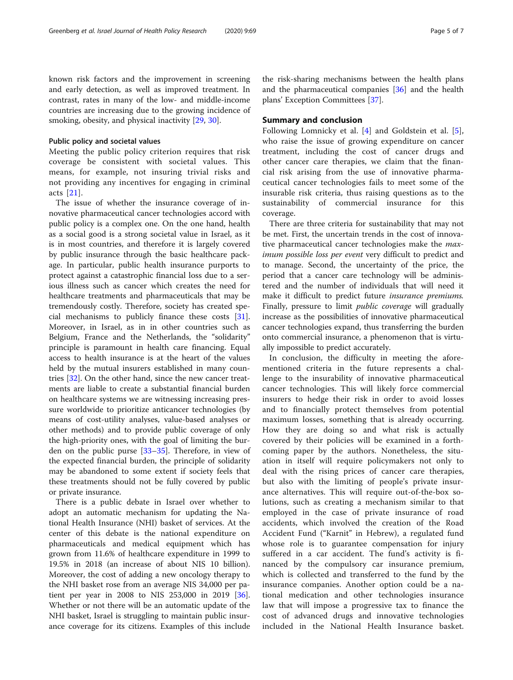known risk factors and the improvement in screening and early detection, as well as improved treatment. In contrast, rates in many of the low- and middle-income countries are increasing due to the growing incidence of smoking, obesity, and physical inactivity [[29,](#page-6-0) [30\]](#page-6-0).

#### Public policy and societal values

Meeting the public policy criterion requires that risk coverage be consistent with societal values. This means, for example, not insuring trivial risks and not providing any incentives for engaging in criminal acts [[21\]](#page-5-0).

The issue of whether the insurance coverage of innovative pharmaceutical cancer technologies accord with public policy is a complex one. On the one hand, health as a social good is a strong societal value in Israel, as it is in most countries, and therefore it is largely covered by public insurance through the basic healthcare package. In particular, public health insurance purports to protect against a catastrophic financial loss due to a serious illness such as cancer which creates the need for healthcare treatments and pharmaceuticals that may be tremendously costly. Therefore, society has created special mechanisms to publicly finance these costs  $[31]$  $[31]$ . Moreover, in Israel, as in in other countries such as Belgium, France and the Netherlands, the "solidarity" principle is paramount in health care financing. Equal access to health insurance is at the heart of the values held by the mutual insurers established in many countries [\[32](#page-6-0)]. On the other hand, since the new cancer treatments are liable to create a substantial financial burden on healthcare systems we are witnessing increasing pressure worldwide to prioritize anticancer technologies (by means of cost-utility analyses, value-based analyses or other methods) and to provide public coverage of only the high-priority ones, with the goal of limiting the burden on the public purse [\[33](#page-6-0)–[35\]](#page-6-0). Therefore, in view of the expected financial burden, the principle of solidarity may be abandoned to some extent if society feels that these treatments should not be fully covered by public or private insurance.

There is a public debate in Israel over whether to adopt an automatic mechanism for updating the National Health Insurance (NHI) basket of services. At the center of this debate is the national expenditure on pharmaceuticals and medical equipment which has grown from 11.6% of healthcare expenditure in 1999 to 19.5% in 2018 (an increase of about NIS 10 billion). Moreover, the cost of adding a new oncology therapy to the NHI basket rose from an average NIS 34,000 per patient per year in 2008 to NIS 253,000 in 2019 [\[36](#page-6-0)]. Whether or not there will be an automatic update of the NHI basket, Israel is struggling to maintain public insurance coverage for its citizens. Examples of this include

the risk-sharing mechanisms between the health plans and the pharmaceutical companies [\[36](#page-6-0)] and the health plans' Exception Committees [\[37](#page-6-0)].

## Summary and conclusion

Following Lomnicky et al. [\[4](#page-5-0)] and Goldstein et al. [\[5](#page-5-0)], who raise the issue of growing expenditure on cancer treatment, including the cost of cancer drugs and other cancer care therapies, we claim that the financial risk arising from the use of innovative pharmaceutical cancer technologies fails to meet some of the insurable risk criteria, thus raising questions as to the sustainability of commercial insurance for this coverage.

There are three criteria for sustainability that may not be met. First, the uncertain trends in the cost of innovative pharmaceutical cancer technologies make the *max*imum possible loss per event very difficult to predict and to manage. Second, the uncertainty of the price, the period that a cancer care technology will be administered and the number of individuals that will need it make it difficult to predict future insurance premiums. Finally, pressure to limit *public coverage* will gradually increase as the possibilities of innovative pharmaceutical cancer technologies expand, thus transferring the burden onto commercial insurance, a phenomenon that is virtually impossible to predict accurately.

In conclusion, the difficulty in meeting the aforementioned criteria in the future represents a challenge to the insurability of innovative pharmaceutical cancer technologies. This will likely force commercial insurers to hedge their risk in order to avoid losses and to financially protect themselves from potential maximum losses, something that is already occurring. How they are doing so and what risk is actually covered by their policies will be examined in a forthcoming paper by the authors. Nonetheless, the situation in itself will require policymakers not only to deal with the rising prices of cancer care therapies, but also with the limiting of people's private insurance alternatives. This will require out-of-the-box solutions, such as creating a mechanism similar to that employed in the case of private insurance of road accidents, which involved the creation of the Road Accident Fund ("Karnit" in Hebrew), a regulated fund whose role is to guarantee compensation for injury suffered in a car accident. The fund's activity is financed by the compulsory car insurance premium, which is collected and transferred to the fund by the insurance companies. Another option could be a national medication and other technologies insurance law that will impose a progressive tax to finance the cost of advanced drugs and innovative technologies included in the National Health Insurance basket.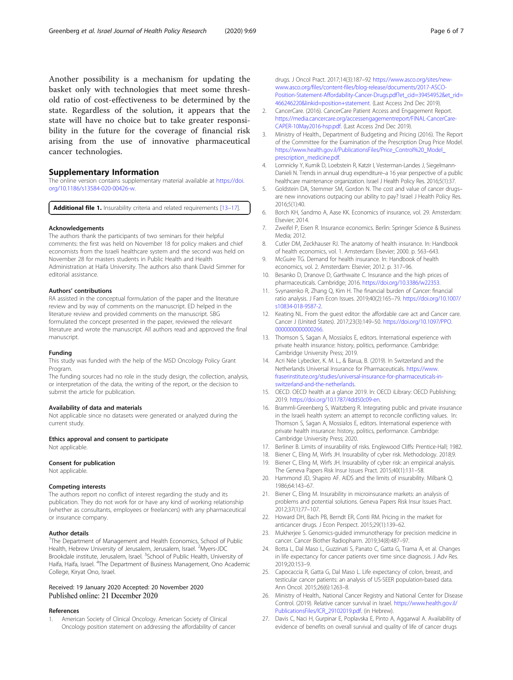<span id="page-5-0"></span>Another possibility is a mechanism for updating the basket only with technologies that meet some threshold ratio of cost-effectiveness to be determined by the state. Regardless of the solution, it appears that the state will have no choice but to take greater responsibility in the future for the coverage of financial risk arising from the use of innovative pharmaceutical cancer technologies.

## Supplementary Information

The online version contains supplementary material available at [https://doi.](https://doi.org/10.1186/s13584-020-00426-w) [org/10.1186/s13584-020-00426-w](https://doi.org/10.1186/s13584-020-00426-w).

Additional file 1. Insurability criteria and related requirements [13-17].

## Acknowledgements

The authors thank the participants of two seminars for their helpful comments: the first was held on November 18 for policy makers and chief economists from the Israeli healthcare system and the second was held on November 28 for masters students in Public Health and Health Administration at Haifa University. The authors also thank David Simmer for editorial assistance.

#### Authors' contributions

RA assisted in the conceptual formulation of the paper and the literature review and by way of comments on the manuscript. ED helped in the literature review and provided comments on the manuscript. SBG formulated the concept presented in the paper, reviewed the relevant literature and wrote the manuscript. All authors read and approved the final manuscript.

#### Funding

This study was funded with the help of the MSD Oncology Policy Grant Program.

The funding sources had no role in the study design, the collection, analysis, or interpretation of the data, the writing of the report, or the decision to submit the article for publication.

#### Availability of data and materials

Not applicable since no datasets were generated or analyzed during the current study.

Ethics approval and consent to participate

Not applicable.

#### Consent for publication

Not applicable.

#### Competing interests

The authors report no conflict of interest regarding the study and its publication. They do not work for or have any kind of working relationship (whether as consultants, employees or freelancers) with any pharmaceutical or insurance company.

#### Author details

<sup>1</sup>The Department of Management and Health Economics, School of Public Health, Hebrew University of Jerusalem, Jerusalem, Israel. <sup>2</sup>Myers-JDC Brookdale institute, Jerusalem, Israel. <sup>3</sup>School of Public Health, University of Haifa, Haifa, Israel. <sup>4</sup>The Department of Business Management, Ono Academic College, Kiryat Ono, Israel.

## Received: 19 January 2020 Accepted: 20 November 2020 Published online: 21 December 2020

#### References

1. American Society of Clinical Oncology. American Society of Clinical Oncology position statement on addressing the affordability of cancer drugs. J Oncol Pract. 2017;14(3):187–92 [https://www.asco.org/sites/new](https://www.asco.org/sites/new-www.asco.org/files/content-files/blog-release/documents/2017-ASCO-Position-Statement-Affordability-Cancer-Drugs.pdf?et_cid=39454952&et_rid=466246220&linkid=position+statement)[www.asco.org/files/content-files/blog-release/documents/2017-ASCO-](https://www.asco.org/sites/new-www.asco.org/files/content-files/blog-release/documents/2017-ASCO-Position-Statement-Affordability-Cancer-Drugs.pdf?et_cid=39454952&et_rid=466246220&linkid=position+statement)[Position-Statement-Affordability-Cancer-Drugs.pdf?et\\_cid=39454952&et\\_rid=](https://www.asco.org/sites/new-www.asco.org/files/content-files/blog-release/documents/2017-ASCO-Position-Statement-Affordability-Cancer-Drugs.pdf?et_cid=39454952&et_rid=466246220&linkid=position+statement) [466246220&linkid=position+statement](https://www.asco.org/sites/new-www.asco.org/files/content-files/blog-release/documents/2017-ASCO-Position-Statement-Affordability-Cancer-Drugs.pdf?et_cid=39454952&et_rid=466246220&linkid=position+statement). (Last Access 2nd Dec 2019).

- 2. CancerCare. (2016). CancerCare Patient Access and Engagement Report. [https://media.cancercare.org/accessengagementreport/FINAL-CancerCare-](https://media.cancercare.org/accessengagementreport/FINAL-CancerCare-CAPER-10May2016-hsp.pdf)[CAPER-10May2016-hsp.pdf.](https://media.cancercare.org/accessengagementreport/FINAL-CancerCare-CAPER-10May2016-hsp.pdf) (Last Access 2nd Dec 2019).
- 3. Ministry of Health., Department of Budgeting and Pricing (2016). The Report of the Committee for the Examination of the Prescription Drug Price Model. [https://www.health.gov.il/PublicationsFiles/Price\\_Control%20\\_Model\\_](https://www.health.gov.il/PublicationsFiles/Price_Control%20_Model_prescription_medicine.pdf) [prescription\\_medicine.pdf](https://www.health.gov.il/PublicationsFiles/Price_Control%20_Model_prescription_medicine.pdf).
- 4. Lomnicky Y, Kurnik D, Loebstein R, Katzir I, Vesterman-Landes J, Siegelmann-Danieli N. Trends in annual drug expenditure–a 16 year perspective of a public healthcare maintenance organization. Israel J Health Policy Res. 2016;5(1):37.
- 5. Goldstein DA, Stemmer SM, Gordon N. The cost and value of cancer drugs– are new innovations outpacing our ability to pay? Israel J Health Policy Res. 2016;5(1):40.
- 6. Borch KH, Sandmo A, Aase KK. Economics of insurance, vol. 29. Amsterdam: Elsevier; 2014.
- 7. Zweifel P, Eisen R. Insurance economics. Berlin: Springer Science & Business Media; 2012.
- 8. Cutler DM, Zeckhauser RJ. The anatomy of health insurance. In: Handbook of health economics, vol. 1. Amsterdam: Elsevier; 2000. p. 563–643.
- 9. McGuire TG. Demand for health insurance. In: Handbook of health economics, vol. 2. Amsterdam: Elsevier; 2012. p. 317–96.
- 10. Besanko D, Dranove D, Garthwaite C. Insurance and the high prices of pharmaceuticals. Cambridge; 2016. <https://doi.org/10.3386/w22353>.
- 11. Svynarenko R, Zhang Q, Kim H. The financial burden of Cancer: financial ratio analysis. J Fam Econ Issues. 2019;40(2):165–79. [https://doi.org/10.1007/](https://doi.org/10.1007/s10834-018-9587-2) [s10834-018-9587-2.](https://doi.org/10.1007/s10834-018-9587-2)
- 12. Keating NL. From the guest editor: the affordable care act and Cancer care. Cancer J (United States). 2017;23(3):149–50. [https://doi.org/10.1097/PPO.](https://doi.org/10.1097/PPO.0000000000000266) [0000000000000266](https://doi.org/10.1097/PPO.0000000000000266).
- 13. Thomson S, Sagan A, Mossialos E, editors. International experience with private health insurance: history, politics, performance. Cambridge: Cambridge University Press; 2019.
- 14. Acri Née Lybecker, K. M. L., & Barua, B. (2019). In Switzerland and the Netherlands Universal Insurance for Pharmaceuticals. [https://www.](https://www.fraserinstitute.org/studies/universal-insurance-for-pharmaceuticals-in-switzerland-and-the-netherlands) [fraserinstitute.org/studies/universal-insurance-for-pharmaceuticals-in](https://www.fraserinstitute.org/studies/universal-insurance-for-pharmaceuticals-in-switzerland-and-the-netherlands)[switzerland-and-the-netherlands.](https://www.fraserinstitute.org/studies/universal-insurance-for-pharmaceuticals-in-switzerland-and-the-netherlands)
- 15. OECD. OECD health at a glance 2019. In: OECD iLibrary: OECD Publishing; 2019. <https://doi.org/10.1787/4dd50c09-en>.
- 16. Brammli-Greenberg S, Waitzberg R. Integrating public and private insurance in the Israeli health system: an attempt to reconcile conflicting values. In: Thomson S, Sagan A, Mossialos E, editors. International experience with private health insurance: history, politics, performance. Cambridge: Cambridge University Press; 2020.
- 17. Berliner B. Limits of insurability of risks. Englewood Cliffs: Prentice-Hall; 1982.
- 18. Biener C, Eling M, Wirfs JH. Insurability of cyber risk. Methodology. 2018;9.
- 19. Biener C, Eling M, Wirfs JH. Insurability of cyber risk: an empirical analysis. The Geneva Papers Risk Insur Issues Pract. 2015;40(1):131–58.
- 20. Hammond JD, Shapiro AF. AIDS and the limits of insurability. Milbank Q. 1986;64:143–67.
- 21. Biener C, Eling M. Insurability in microinsurance markets: an analysis of problems and potential solutions. Geneva Papers Risk Insur Issues Pract. 2012;37(1):77–107.
- 22. Howard DH, Bach PB, Berndt ER, Conti RM. Pricing in the market for anticancer drugs. J Econ Perspect. 2015;29(1):139–62.
- 23. Mukherjee S. Genomics-guided immunotherapy for precision medicine in cancer. Cancer Biother Radiopharm. 2019;34(8):487–97.
- 24. Botta L, Dal Maso L, Guzzinati S, Panato C, Gatta G, Trama A, et al. Changes in life expectancy for cancer patients over time since diagnosis. J Adv Res. 2019;20:153–9.
- 25. Capocaccia R, Gatta G, Dal Maso L. Life expectancy of colon, breast, and testicular cancer patients: an analysis of US-SEER population-based data. Ann Oncol. 2015;26(6):1263–8.
- 26. Ministry of Health,. National Cancer Registry and National Center for Disease Control. (2019). Relative cancer survival in Israel. [https://www.health.gov.il/](https://www.health.gov.il/PublicationsFiles/ICR_29102019.pdf) [PublicationsFiles/ICR\\_29102019.pdf](https://www.health.gov.il/PublicationsFiles/ICR_29102019.pdf). (in Hebrew).
- 27. Davis C, Naci H, Gurpinar E, Poplavska E, Pinto A, Aggarwal A. Availability of evidence of benefits on overall survival and quality of life of cancer drugs